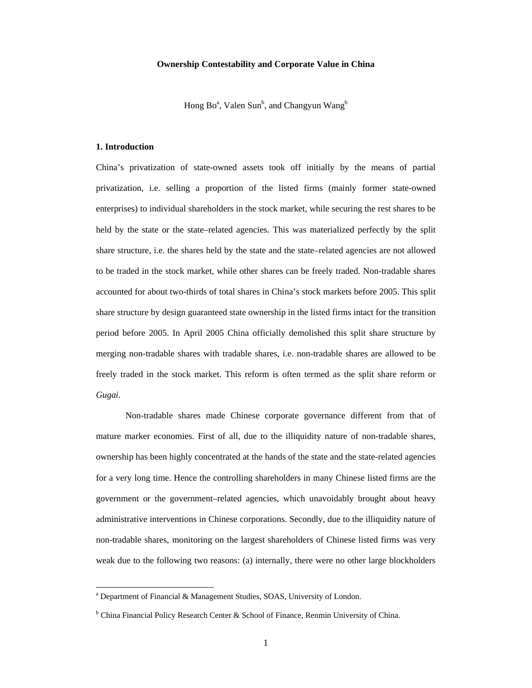# **Ownership Contestability and Corporate Value in China**

Hong Bo $\rm^a$ , Valen Sun $\rm^b$ , and Changyun Wang $\rm^b$ 

# **1. Introduction**

l

China's privatization of state-owned assets took off initially by the means of partial privatization, i.e. selling a proportion of the listed firms (mainly former state-owned enterprises) to individual shareholders in the stock market, while securing the rest shares to be held by the state or the state–related agencies. This was materialized perfectly by the split share structure, i.e. the shares held by the state and the state–related agencies are not allowed to be traded in the stock market, while other shares can be freely traded. Non-tradable shares accounted for about two-thirds of total shares in China's stock markets before 2005. This split share structure by design guaranteed state ownership in the listed firms intact for the transition period before 2005. In April 2005 China officially demolished this split share structure by merging non-tradable shares with tradable shares, i.e. non-tradable shares are allowed to be freely traded in the stock market. This reform is often termed as the split share reform or *Gugai*.

Non-tradable shares made Chinese corporate governance different from that of mature marker economies. First of all, due to the illiquidity nature of non-tradable shares, ownership has been highly concentrated at the hands of the state and the state-related agencies for a very long time. Hence the controlling shareholders in many Chinese listed firms are the government or the government–related agencies, which unavoidably brought about heavy administrative interventions in Chinese corporations. Secondly, due to the illiquidity nature of non-tradable shares, monitoring on the largest shareholders of Chinese listed firms was very weak due to the following two reasons: (a) internally, there were no other large blockholders

<sup>&</sup>lt;sup>a</sup> Department of Financial & Management Studies, SOAS, University of London.

<sup>&</sup>lt;sup>b</sup> China Financial Policy Research Center & School of Finance, Renmin University of China.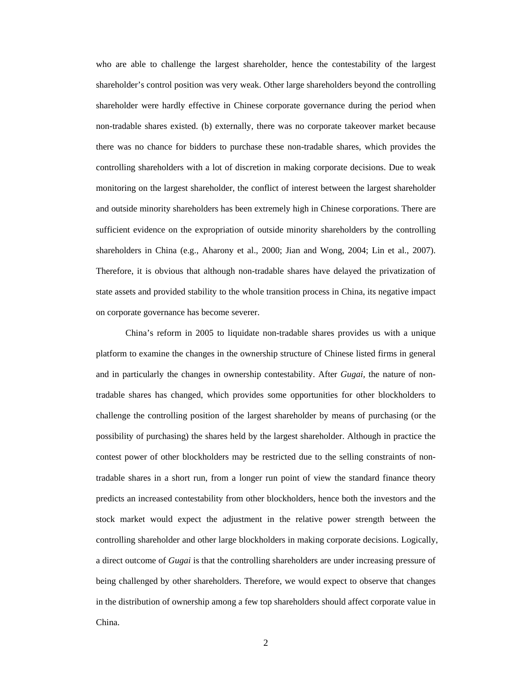who are able to challenge the largest shareholder, hence the contestability of the largest shareholder's control position was very weak. Other large shareholders beyond the controlling shareholder were hardly effective in Chinese corporate governance during the period when non-tradable shares existed. (b) externally, there was no corporate takeover market because there was no chance for bidders to purchase these non-tradable shares, which provides the controlling shareholders with a lot of discretion in making corporate decisions. Due to weak monitoring on the largest shareholder, the conflict of interest between the largest shareholder and outside minority shareholders has been extremely high in Chinese corporations. There are sufficient evidence on the expropriation of outside minority shareholders by the controlling shareholders in China (e.g., Aharony et al., 2000; Jian and Wong, 2004; Lin et al., 2007). Therefore, it is obvious that although non-tradable shares have delayed the privatization of state assets and provided stability to the whole transition process in China, its negative impact on corporate governance has become severer.

China's reform in 2005 to liquidate non-tradable shares provides us with a unique platform to examine the changes in the ownership structure of Chinese listed firms in general and in particularly the changes in ownership contestability. After *Gugai,* the nature of nontradable shares has changed, which provides some opportunities for other blockholders to challenge the controlling position of the largest shareholder by means of purchasing (or the possibility of purchasing) the shares held by the largest shareholder. Although in practice the contest power of other blockholders may be restricted due to the selling constraints of nontradable shares in a short run, from a longer run point of view the standard finance theory predicts an increased contestability from other blockholders, hence both the investors and the stock market would expect the adjustment in the relative power strength between the controlling shareholder and other large blockholders in making corporate decisions. Logically, a direct outcome of *Gugai* is that the controlling shareholders are under increasing pressure of being challenged by other shareholders. Therefore, we would expect to observe that changes in the distribution of ownership among a few top shareholders should affect corporate value in China.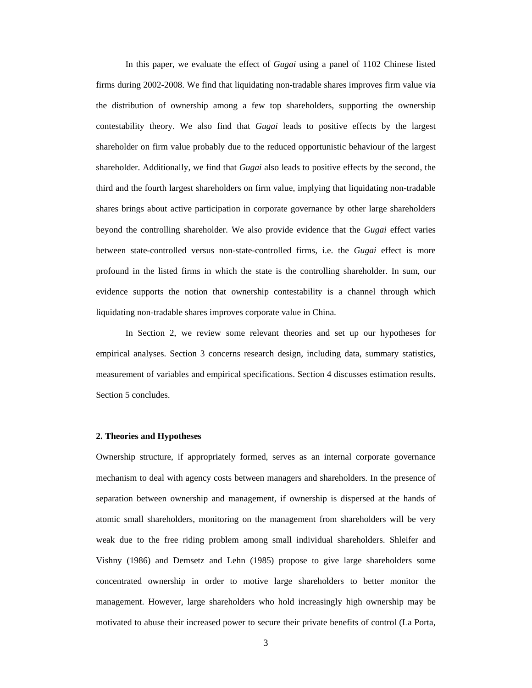In this paper, we evaluate the effect of *Gugai* using a panel of 1102 Chinese listed firms during 2002-2008. We find that liquidating non-tradable shares improves firm value via the distribution of ownership among a few top shareholders, supporting the ownership contestability theory. We also find that *Gugai* leads to positive effects by the largest shareholder on firm value probably due to the reduced opportunistic behaviour of the largest shareholder. Additionally, we find that *Gugai* also leads to positive effects by the second, the third and the fourth largest shareholders on firm value, implying that liquidating non-tradable shares brings about active participation in corporate governance by other large shareholders beyond the controlling shareholder. We also provide evidence that the *Gugai* effect varies between state-controlled versus non-state-controlled firms, i.e. the *Gugai* effect is more profound in the listed firms in which the state is the controlling shareholder. In sum, our evidence supports the notion that ownership contestability is a channel through which liquidating non-tradable shares improves corporate value in China.

In Section 2, we review some relevant theories and set up our hypotheses for empirical analyses. Section 3 concerns research design, including data, summary statistics, measurement of variables and empirical specifications. Section 4 discusses estimation results. Section 5 concludes.

#### **2. Theories and Hypotheses**

Ownership structure, if appropriately formed, serves as an internal corporate governance mechanism to deal with agency costs between managers and shareholders. In the presence of separation between ownership and management, if ownership is dispersed at the hands of atomic small shareholders, monitoring on the management from shareholders will be very weak due to the free riding problem among small individual shareholders. Shleifer and Vishny (1986) and Demsetz and Lehn (1985) propose to give large shareholders some concentrated ownership in order to motive large shareholders to better monitor the management. However, large shareholders who hold increasingly high ownership may be motivated to abuse their increased power to secure their private benefits of control (La Porta,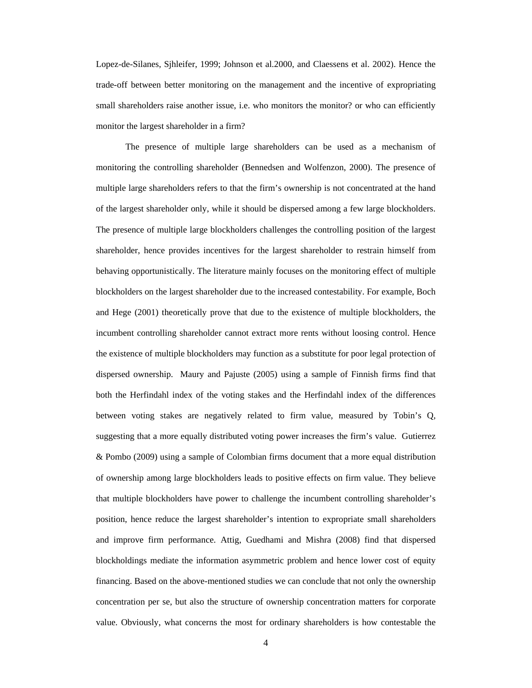Lopez-de-Silanes, Sjhleifer, 1999; Johnson et al.2000, and Claessens et al. 2002). Hence the trade-off between better monitoring on the management and the incentive of expropriating small shareholders raise another issue, i.e. who monitors the monitor? or who can efficiently monitor the largest shareholder in a firm?

 The presence of multiple large shareholders can be used as a mechanism of monitoring the controlling shareholder (Bennedsen and Wolfenzon, 2000). The presence of multiple large shareholders refers to that the firm's ownership is not concentrated at the hand of the largest shareholder only, while it should be dispersed among a few large blockholders. The presence of multiple large blockholders challenges the controlling position of the largest shareholder, hence provides incentives for the largest shareholder to restrain himself from behaving opportunistically. The literature mainly focuses on the monitoring effect of multiple blockholders on the largest shareholder due to the increased contestability. For example, Boch and Hege (2001) theoretically prove that due to the existence of multiple blockholders, the incumbent controlling shareholder cannot extract more rents without loosing control. Hence the existence of multiple blockholders may function as a substitute for poor legal protection of dispersed ownership. Maury and Pajuste (2005) using a sample of Finnish firms find that both the Herfindahl index of the voting stakes and the Herfindahl index of the differences between voting stakes are negatively related to firm value, measured by Tobin's Q, suggesting that a more equally distributed voting power increases the firm's value. Gutierrez & Pombo (2009) using a sample of Colombian firms document that a more equal distribution of ownership among large blockholders leads to positive effects on firm value. They believe that multiple blockholders have power to challenge the incumbent controlling shareholder's position, hence reduce the largest shareholder's intention to expropriate small shareholders and improve firm performance. Attig, Guedhami and Mishra (2008) find that dispersed blockholdings mediate the information asymmetric problem and hence lower cost of equity financing. Based on the above-mentioned studies we can conclude that not only the ownership concentration per se, but also the structure of ownership concentration matters for corporate value. Obviously, what concerns the most for ordinary shareholders is how contestable the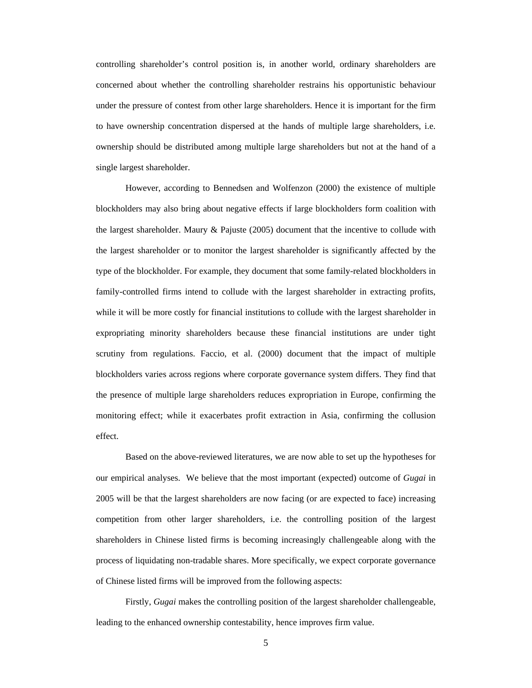controlling shareholder's control position is, in another world, ordinary shareholders are concerned about whether the controlling shareholder restrains his opportunistic behaviour under the pressure of contest from other large shareholders. Hence it is important for the firm to have ownership concentration dispersed at the hands of multiple large shareholders, i.e. ownership should be distributed among multiple large shareholders but not at the hand of a single largest shareholder.

However, according to Bennedsen and Wolfenzon (2000) the existence of multiple blockholders may also bring about negative effects if large blockholders form coalition with the largest shareholder. Maury & Pajuste (2005) document that the incentive to collude with the largest shareholder or to monitor the largest shareholder is significantly affected by the type of the blockholder. For example, they document that some family-related blockholders in family-controlled firms intend to collude with the largest shareholder in extracting profits, while it will be more costly for financial institutions to collude with the largest shareholder in expropriating minority shareholders because these financial institutions are under tight scrutiny from regulations. Faccio, et al. (2000) document that the impact of multiple blockholders varies across regions where corporate governance system differs. They find that the presence of multiple large shareholders reduces expropriation in Europe, confirming the monitoring effect; while it exacerbates profit extraction in Asia, confirming the collusion effect.

Based on the above-reviewed literatures, we are now able to set up the hypotheses for our empirical analyses. We believe that the most important (expected) outcome of *Gugai* in 2005 will be that the largest shareholders are now facing (or are expected to face) increasing competition from other larger shareholders, i.e. the controlling position of the largest shareholders in Chinese listed firms is becoming increasingly challengeable along with the process of liquidating non-tradable shares. More specifically, we expect corporate governance of Chinese listed firms will be improved from the following aspects:

Firstly, *Gugai* makes the controlling position of the largest shareholder challengeable, leading to the enhanced ownership contestability, hence improves firm value.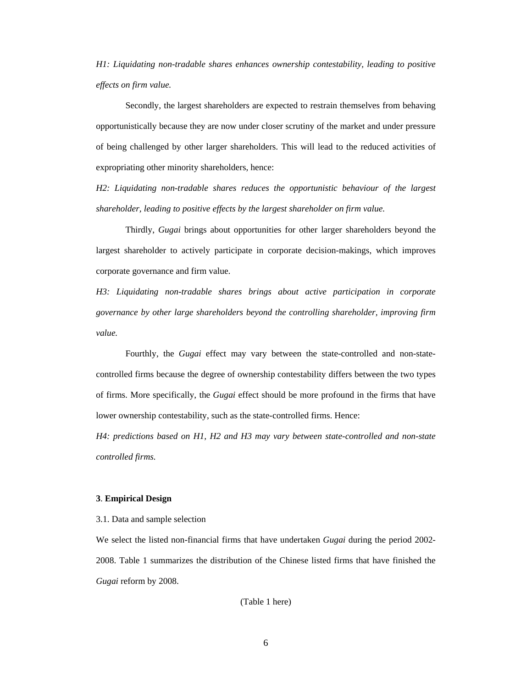*H1: Liquidating non-tradable shares enhances ownership contestability, leading to positive effects on firm value.*

Secondly, the largest shareholders are expected to restrain themselves from behaving opportunistically because they are now under closer scrutiny of the market and under pressure of being challenged by other larger shareholders. This will lead to the reduced activities of expropriating other minority shareholders, hence:

*H2: Liquidating non-tradable shares reduces the opportunistic behaviour of the largest shareholder, leading to positive effects by the largest shareholder on firm value.* 

Thirdly, *Gugai* brings about opportunities for other larger shareholders beyond the largest shareholder to actively participate in corporate decision-makings, which improves corporate governance and firm value.

*H3: Liquidating non-tradable shares brings about active participation in corporate governance by other large shareholders beyond the controlling shareholder, improving firm value.* 

 Fourthly, the *Gugai* effect may vary between the state-controlled and non-statecontrolled firms because the degree of ownership contestability differs between the two types of firms. More specifically, the *Gugai* effect should be more profound in the firms that have lower ownership contestability, such as the state-controlled firms. Hence:

*H4: predictions based on H1, H2 and H3 may vary between state-controlled and non-state controlled firms.* 

# **3**. **Empirical Design**

3.1. Data and sample selection

We select the listed non-financial firms that have undertaken *Gugai* during the period 2002- 2008. Table 1 summarizes the distribution of the Chinese listed firms that have finished the *Gugai* reform by 2008.

(Table 1 here)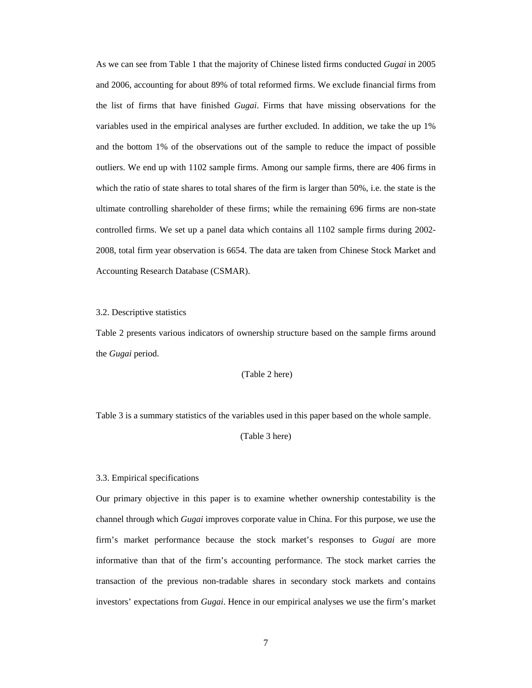As we can see from Table 1 that the majority of Chinese listed firms conducted *Gugai* in 2005 and 2006, accounting for about 89% of total reformed firms. We exclude financial firms from the list of firms that have finished *Gugai*. Firms that have missing observations for the variables used in the empirical analyses are further excluded. In addition, we take the up 1% and the bottom 1% of the observations out of the sample to reduce the impact of possible outliers. We end up with 1102 sample firms. Among our sample firms, there are 406 firms in which the ratio of state shares to total shares of the firm is larger than 50%, i.e. the state is the ultimate controlling shareholder of these firms; while the remaining 696 firms are non-state controlled firms. We set up a panel data which contains all 1102 sample firms during 2002- 2008, total firm year observation is 6654. The data are taken from Chinese Stock Market and Accounting Research Database (CSMAR).

## 3.2. Descriptive statistics

Table 2 presents various indicators of ownership structure based on the sample firms around the *Gugai* period.

(Table 2 here)

Table 3 is a summary statistics of the variables used in this paper based on the whole sample.

(Table 3 here)

# 3.3. Empirical specifications

Our primary objective in this paper is to examine whether ownership contestability is the channel through which *Gugai* improves corporate value in China. For this purpose, we use the firm's market performance because the stock market's responses to *Gugai* are more informative than that of the firm's accounting performance. The stock market carries the transaction of the previous non-tradable shares in secondary stock markets and contains investors' expectations from *Gugai*. Hence in our empirical analyses we use the firm's market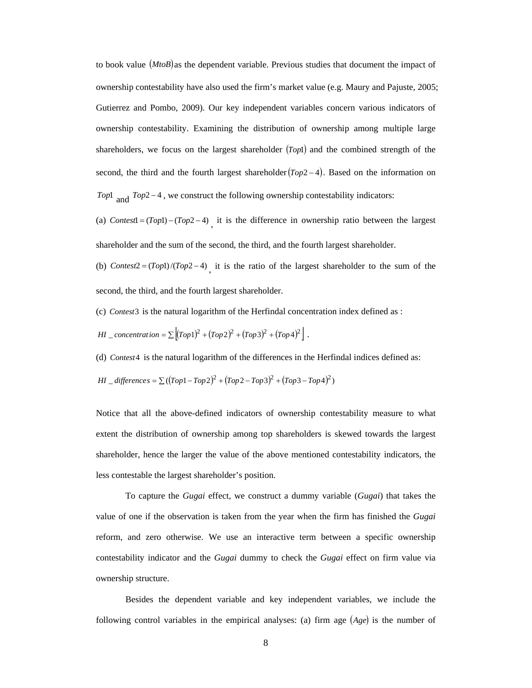to book value (*MtoB*) as the dependent variable. Previous studies that document the impact of ownership contestability have also used the firm's market value (e.g. Maury and Pajuste, 2005; Gutierrez and Pombo, 2009). Our key independent variables concern various indicators of ownership contestability. Examining the distribution of ownership among multiple large shareholders, we focus on the largest shareholder (*Top*1) and the combined strength of the second, the third and the fourth largest shareholder(*Top*2 − 4). Based on the information on *Top*1 <sub>and</sub> *Top*2−4, we construct the following ownership contestability indicators:

(a) *Contest*1<sup>=</sup> (*Top*1) <sup>−</sup> (*Top*<sup>2</sup> <sup>−</sup> 4) , it is the difference in ownership ratio between the largest shareholder and the sum of the second, the third, and the fourth largest shareholder.

(b) *Contest*<sup>2</sup> <sup>=</sup> (*Top*1)/(*Top*<sup>2</sup> <sup>−</sup> 4) , it is the ratio of the largest shareholder to the sum of the second, the third, and the fourth largest shareholder.

(c) *Contest*3 is the natural logarithm of the Herfindal concentration index defined as :

$$
HI\_concentration = \sum [(Top1)^{2} + (Top2)^{2} + (Top3)^{2} + (Top4)^{2}].
$$

(d) *Contest*4 is the natural logarithm of the differences in the Herfindal indices defined as:

$$
HI\_difference = \sum ((Top1 - Top2)^2 + (Top2 - Top3)^2 + (Top3 - Top4)^2)
$$

Notice that all the above-defined indicators of ownership contestability measure to what extent the distribution of ownership among top shareholders is skewed towards the largest shareholder, hence the larger the value of the above mentioned contestability indicators, the less contestable the largest shareholder's position.

To capture the *Gugai* effect, we construct a dummy variable (*Gugai*) that takes the value of one if the observation is taken from the year when the firm has finished the *Gugai* reform, and zero otherwise. We use an interactive term between a specific ownership contestability indicator and the *Gugai* dummy to check the *Gugai* effect on firm value via ownership structure.

Besides the dependent variable and key independent variables, we include the following control variables in the empirical analyses: (a) firm age (*Age*) is the number of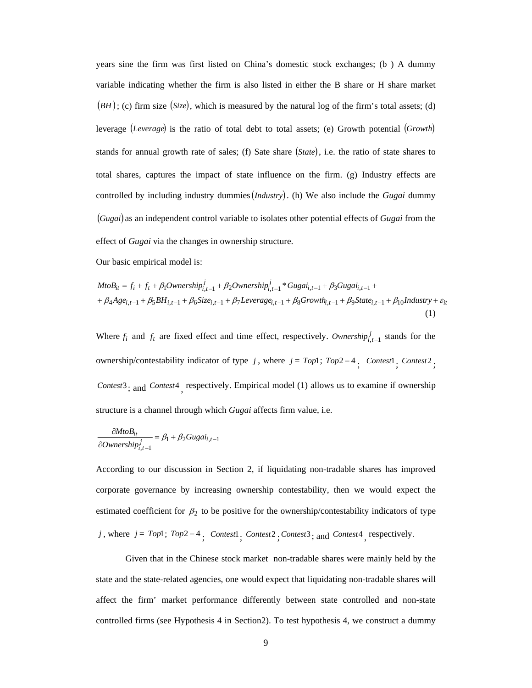years sine the firm was first listed on China's domestic stock exchanges; (b ) A dummy variable indicating whether the firm is also listed in either the B share or H share market  $(BH)$ ; (c) firm size (*Size*), which is measured by the natural log of the firm's total assets; (d) leverage (*Leverage*) is the ratio of total debt to total assets; (e) Growth potential (*Growth*) stands for annual growth rate of sales; (f) Sate share (*State*), i.e. the ratio of state shares to total shares, captures the impact of state influence on the firm. (g) Industry effects are controlled by including industry dummies(*Industry*). (h) We also include the *Gugai* dummy (*Gugai*) as an independent control variable to isolates other potential effects of *Gugai* from the effect of *Gugai* via the changes in ownership structure.

Our basic empirical model is:

$$
MtoB_{it} = f_i + f_t + \beta_1 \text{Ownership}_{i,t-1}^j + \beta_2 \text{Ownership}_{i,t-1}^j * \text{Gugai}_{i,t-1} + \beta_3 \text{Gugai}_{i,t-1} + + \beta_4 \text{Age}_{i,t-1} + \beta_5 \text{BH}_{i,t-1} + \beta_6 \text{Size}_{i,t-1} + \beta_7 \text{Leverage}_{i,t-1} + \beta_8 \text{Growth}_{i,t-1} + \beta_9 \text{State}_{i,t-1} + \beta_{10} \text{Industry} + \varepsilon_{it}
$$
\n(1)

Where  $f_i$  and  $f_t$  are fixed effect and time effect, respectively. *Ownership*<sup>*j*</sup><sub>*i*</sub>, $t_{-1}$  stands for the ownership/contestability indicator of type *j* , where *j* = *Top*1; *Top*2 − 4 ; *Contest*1; *Contest*<sup>2</sup> ; Contest<sup>3</sup>; and Contest<sup>4</sup> respectively. Empirical model (1) allows us to examine if ownership structure is a channel through which *Gugai* affects firm value, i.e.

$$
\frac{\partial M \omega B_{it}}{\partial Ownership_{i,t-1}^j} = \beta_1 + \beta_2 Gugai_{i,t-1}
$$

According to our discussion in Section 2, if liquidating non-tradable shares has improved corporate governance by increasing ownership contestability, then we would expect the estimated coefficient for  $\beta_2$  to be positive for the ownership/contestability indicators of type *j*, where *j* = *Top*1; *Top*2−4, *Contest*1, *Contest*2, *Contest*3; and *Contest*4, respectively.

Given that in the Chinese stock market non-tradable shares were mainly held by the state and the state-related agencies, one would expect that liquidating non-tradable shares will affect the firm' market performance differently between state controlled and non-state controlled firms (see Hypothesis 4 in Section2). To test hypothesis 4, we construct a dummy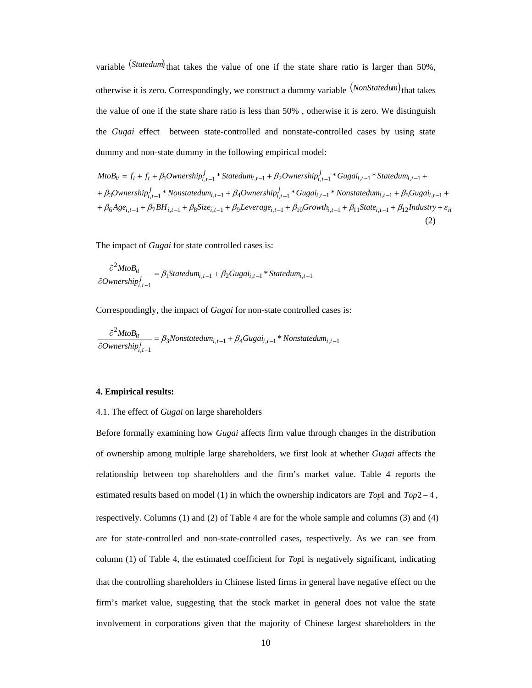variable (*Statedum*) that takes the value of one if the state share ratio is larger than 50%, otherwise it is zero. Correspondingly, we construct a dummy variable (*NonStatedum*)<sub>that takes</sub> the value of one if the state share ratio is less than 50% , otherwise it is zero. We distinguish the *Gugai* effect between state-controlled and nonstate-controlled cases by using state dummy and non-state dummy in the following empirical model:

 $+\beta_6 Age_{i,t-1}+\beta_7BH_{i,t-1}+\beta_8Size_{i,t-1}+\beta_9Leverage_{i,t-1}+\beta_{10}Growth_{i,t-1}+\beta_{11} State_{i,t-1}+\beta_{12}Industry+\varepsilon_{it}$  $+ \beta_3 Ownership^j_{i,t-1}*Nonstatedum_{i,t-1} + \beta_4 Ownership^j_{i,t-1}*Gugai_{i,t-1}*Nonstatedum_{i,t-1} + \beta_5 Gugai_{i,t-1}+$  $MtoB_{it} = f_i + f_t + \beta_1\text{Ownership}_{i,t-1}^j * \text{Statedum}_{i,t-1} + \beta_2\text{Ownership}_{i,t-1}^j * \text{Gugai}_{i,t-1} * \text{Statedum}_{i,t-1} +$ (2)

The impact of *Gugai* for state controlled cases is:

$$
\frac{\partial^2 M to B_{it}}{\partial Ownership_{i,t-1}^j} = \beta_1 \text{Statedum}_{i,t-1} + \beta_2 \text{Gugai}_{i,t-1} * \text{Statedum}_{i,t-1}
$$

Correspondingly, the impact of *Gugai* for non-state controlled cases is:

 $_3$ ivonstate $a$ um $_{i,t-1}$  +  $\rho_4$ Gugai $_{i,t-1}$  \* ivonstate $a$ um $_{i,t-1}$  $,t-1$ 2  $_{-1}$  +  $\beta_4$ Gugai<sub>i,t $_{-1}$ </sub> \* Nonstatedum<sub>i,t</sub> −  $= \beta_3$ Nonstatedum<sub>it-1</sub>+ ∂ ∂  $\frac{\partial^2 M toB_{it}}{\partial W} = \beta_3$ Nonstatedum<sub>i,t-1</sub> +  $\beta_4 G u g a i_{i,t-1}$  \* Nonstatedum<sub>i,t</sub>

#### **4. Empirical results:**

#### 4.1. The effect of *Gugai* on large shareholders

Before formally examining how *Gugai* affects firm value through changes in the distribution of ownership among multiple large shareholders, we first look at whether *Gugai* affects the relationship between top shareholders and the firm's market value. Table 4 reports the estimated results based on model (1) in which the ownership indicators are *Top*1 and *Top*2 − 4 , respectively. Columns (1) and (2) of Table 4 are for the whole sample and columns (3) and (4) are for state-controlled and non-state-controlled cases, respectively. As we can see from column (1) of Table 4, the estimated coefficient for *Top*1 is negatively significant, indicating that the controlling shareholders in Chinese listed firms in general have negative effect on the firm's market value, suggesting that the stock market in general does not value the state involvement in corporations given that the majority of Chinese largest shareholders in the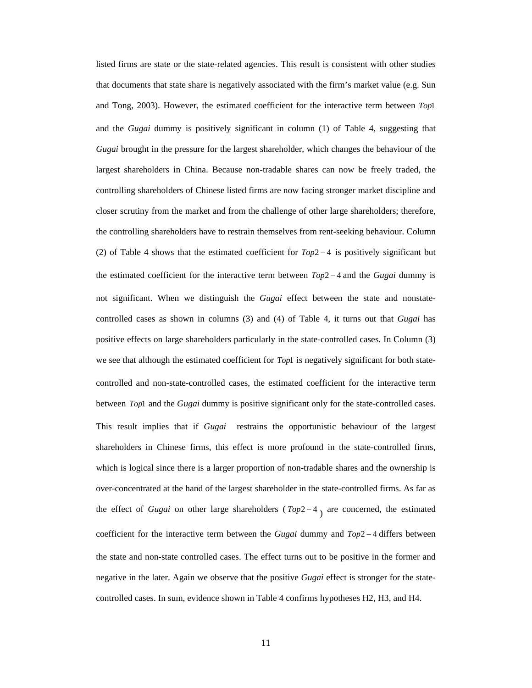listed firms are state or the state-related agencies. This result is consistent with other studies that documents that state share is negatively associated with the firm's market value (e.g. Sun and Tong, 2003). However, the estimated coefficient for the interactive term between *Top*1 and the *Gugai* dummy is positively significant in column (1) of Table 4, suggesting that *Gugai* brought in the pressure for the largest shareholder, which changes the behaviour of the largest shareholders in China. Because non-tradable shares can now be freely traded, the controlling shareholders of Chinese listed firms are now facing stronger market discipline and closer scrutiny from the market and from the challenge of other large shareholders; therefore, the controlling shareholders have to restrain themselves from rent-seeking behaviour. Column (2) of Table 4 shows that the estimated coefficient for *Top*2 − 4 is positively significant but the estimated coefficient for the interactive term between *Top*2 − 4 and the *Gugai* dummy is not significant. When we distinguish the *Gugai* effect between the state and nonstatecontrolled cases as shown in columns (3) and (4) of Table 4, it turns out that *Gugai* has positive effects on large shareholders particularly in the state-controlled cases. In Column (3) we see that although the estimated coefficient for *Top*1 is negatively significant for both statecontrolled and non-state-controlled cases, the estimated coefficient for the interactive term between *Top*1 and the *Gugai* dummy is positive significant only for the state-controlled cases. This result implies that if *Gugai* restrains the opportunistic behaviour of the largest shareholders in Chinese firms, this effect is more profound in the state-controlled firms, which is logical since there is a larger proportion of non-tradable shares and the ownership is over-concentrated at the hand of the largest shareholder in the state-controlled firms. As far as the effect of *Gugai* on other large shareholders ( *Top*<sup>2</sup> <sup>−</sup> <sup>4</sup> ) are concerned, the estimated coefficient for the interactive term between the *Gugai* dummy and *Top*2 − 4 differs between the state and non-state controlled cases. The effect turns out to be positive in the former and negative in the later. Again we observe that the positive *Gugai* effect is stronger for the statecontrolled cases. In sum, evidence shown in Table 4 confirms hypotheses H2, H3, and H4.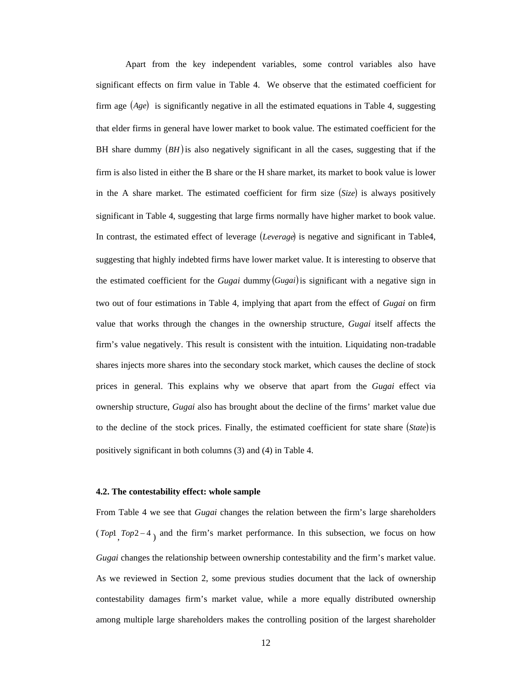Apart from the key independent variables, some control variables also have significant effects on firm value in Table 4. We observe that the estimated coefficient for firm age  $(Age)$  is significantly negative in all the estimated equations in Table 4, suggesting that elder firms in general have lower market to book value. The estimated coefficient for the BH share dummy  $(BH)$  is also negatively significant in all the cases, suggesting that if the firm is also listed in either the B share or the H share market, its market to book value is lower in the A share market. The estimated coefficient for firm size (*Size*) is always positively significant in Table 4, suggesting that large firms normally have higher market to book value. In contrast, the estimated effect of leverage (*Leverage*) is negative and significant in Table4, suggesting that highly indebted firms have lower market value. It is interesting to observe that the estimated coefficient for the *Gugai* dummy (*Gugai*)is significant with a negative sign in two out of four estimations in Table 4, implying that apart from the effect of *Gugai* on firm value that works through the changes in the ownership structure, *Gugai* itself affects the firm's value negatively. This result is consistent with the intuition. Liquidating non-tradable shares injects more shares into the secondary stock market, which causes the decline of stock prices in general. This explains why we observe that apart from the *Gugai* effect via ownership structure, *Gugai* also has brought about the decline of the firms' market value due to the decline of the stock prices. Finally, the estimated coefficient for state share (*State*) is positively significant in both columns (3) and (4) in Table 4.

# **4.2. The contestability effect: whole sample**

From Table 4 we see that *Gugai* changes the relation between the firm's large shareholders ( *Top*1, *Top*<sup>2</sup> <sup>−</sup> <sup>4</sup> ) and the firm's market performance. In this subsection, we focus on how *Gugai* changes the relationship between ownership contestability and the firm's market value. As we reviewed in Section 2, some previous studies document that the lack of ownership contestability damages firm's market value, while a more equally distributed ownership among multiple large shareholders makes the controlling position of the largest shareholder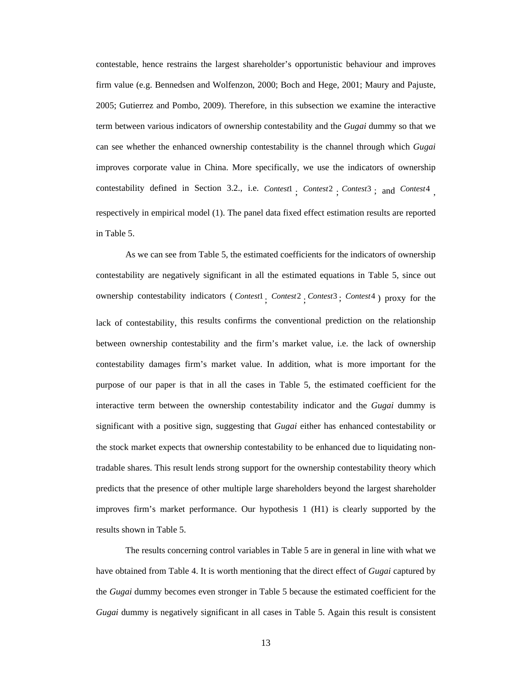contestable, hence restrains the largest shareholder's opportunistic behaviour and improves firm value (e.g. Bennedsen and Wolfenzon, 2000; Boch and Hege, 2001; Maury and Pajuste, 2005; Gutierrez and Pombo, 2009). Therefore, in this subsection we examine the interactive term between various indicators of ownership contestability and the *Gugai* dummy so that we can see whether the enhanced ownership contestability is the channel through which *Gugai* improves corporate value in China. More specifically, we use the indicators of ownership contestability defined in Section 3.2., i.e. *Contest*<sup>1</sup> ; *Contest*<sup>2</sup> ; *Contest*<sup>3</sup> ; and *Contest*<sup>4</sup> , respectively in empirical model (1). The panel data fixed effect estimation results are reported in Table 5.

 As we can see from Table 5, the estimated coefficients for the indicators of ownership contestability are negatively significant in all the estimated equations in Table 5, since out ownership contestability indicators ( *Contest*<sup>1</sup> ; *Contest*<sup>2</sup> ; *Contest*<sup>3</sup> ; *Contest*<sup>4</sup> ) proxy for the lack of contestability, this results confirms the conventional prediction on the relationship between ownership contestability and the firm's market value, i.e. the lack of ownership contestability damages firm's market value. In addition, what is more important for the purpose of our paper is that in all the cases in Table 5, the estimated coefficient for the interactive term between the ownership contestability indicator and the *Gugai* dummy is significant with a positive sign, suggesting that *Gugai* either has enhanced contestability or the stock market expects that ownership contestability to be enhanced due to liquidating nontradable shares. This result lends strong support for the ownership contestability theory which predicts that the presence of other multiple large shareholders beyond the largest shareholder improves firm's market performance. Our hypothesis 1 (H1) is clearly supported by the results shown in Table 5.

The results concerning control variables in Table 5 are in general in line with what we have obtained from Table 4. It is worth mentioning that the direct effect of *Gugai* captured by the *Gugai* dummy becomes even stronger in Table 5 because the estimated coefficient for the *Gugai* dummy is negatively significant in all cases in Table 5. Again this result is consistent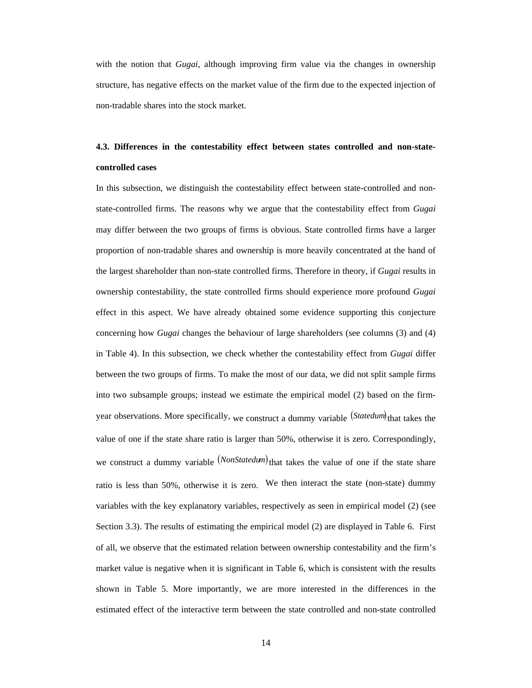with the notion that *Gugai*, although improving firm value via the changes in ownership structure, has negative effects on the market value of the firm due to the expected injection of non-tradable shares into the stock market.

# **4.3. Differences in the contestability effect between states controlled and non-statecontrolled cases**

In this subsection, we distinguish the contestability effect between state-controlled and nonstate-controlled firms. The reasons why we argue that the contestability effect from *Gugai* may differ between the two groups of firms is obvious. State controlled firms have a larger proportion of non-tradable shares and ownership is more heavily concentrated at the hand of the largest shareholder than non-state controlled firms. Therefore in theory, if *Gugai* results in ownership contestability, the state controlled firms should experience more profound *Gugai* effect in this aspect. We have already obtained some evidence supporting this conjecture concerning how *Gugai* changes the behaviour of large shareholders (see columns (3) and (4) in Table 4). In this subsection, we check whether the contestability effect from *Gugai* differ between the two groups of firms. To make the most of our data, we did not split sample firms into two subsample groups; instead we estimate the empirical model (2) based on the firmyear observations. More specifically, we construct a dummy variable (*Statedum*) that takes the value of one if the state share ratio is larger than 50%, otherwise it is zero. Correspondingly, we construct a dummy variable (*NonStatedum*)<sub>that takes the value of one if the state share</sub> ratio is less than 50%, otherwise it is zero. We then interact the state (non-state) dummy variables with the key explanatory variables, respectively as seen in empirical model (2) (see Section 3.3). The results of estimating the empirical model (2) are displayed in Table 6. First of all, we observe that the estimated relation between ownership contestability and the firm's market value is negative when it is significant in Table 6, which is consistent with the results shown in Table 5. More importantly, we are more interested in the differences in the estimated effect of the interactive term between the state controlled and non-state controlled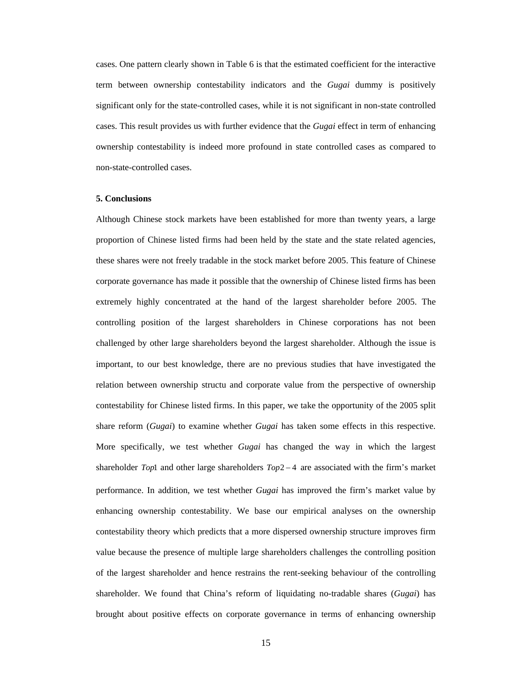cases. One pattern clearly shown in Table 6 is that the estimated coefficient for the interactive term between ownership contestability indicators and the *Gugai* dummy is positively significant only for the state-controlled cases, while it is not significant in non-state controlled cases. This result provides us with further evidence that the *Gugai* effect in term of enhancing ownership contestability is indeed more profound in state controlled cases as compared to non-state-controlled cases.

## **5. Conclusions**

Although Chinese stock markets have been established for more than twenty years, a large proportion of Chinese listed firms had been held by the state and the state related agencies, these shares were not freely tradable in the stock market before 2005. This feature of Chinese corporate governance has made it possible that the ownership of Chinese listed firms has been extremely highly concentrated at the hand of the largest shareholder before 2005. The controlling position of the largest shareholders in Chinese corporations has not been challenged by other large shareholders beyond the largest shareholder. Although the issue is important, to our best knowledge, there are no previous studies that have investigated the relation between ownership structu and corporate value from the perspective of ownership contestability for Chinese listed firms. In this paper, we take the opportunity of the 2005 split share reform (*Gugai*) to examine whether *Gugai* has taken some effects in this respective. More specifically, we test whether *Gugai* has changed the way in which the largest shareholder *Top*1 and other large shareholders *Top*2 − 4 are associated with the firm's market performance. In addition, we test whether *Gugai* has improved the firm's market value by enhancing ownership contestability. We base our empirical analyses on the ownership contestability theory which predicts that a more dispersed ownership structure improves firm value because the presence of multiple large shareholders challenges the controlling position of the largest shareholder and hence restrains the rent-seeking behaviour of the controlling shareholder. We found that China's reform of liquidating no-tradable shares (*Gugai*) has brought about positive effects on corporate governance in terms of enhancing ownership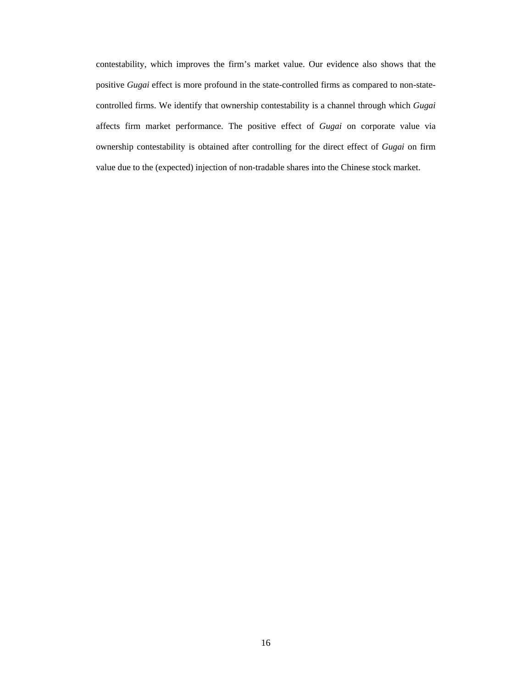contestability, which improves the firm's market value. Our evidence also shows that the positive *Gugai* effect is more profound in the state-controlled firms as compared to non-statecontrolled firms. We identify that ownership contestability is a channel through which *Gugai* affects firm market performance. The positive effect of *Gugai* on corporate value via ownership contestability is obtained after controlling for the direct effect of *Gugai* on firm value due to the (expected) injection of non-tradable shares into the Chinese stock market.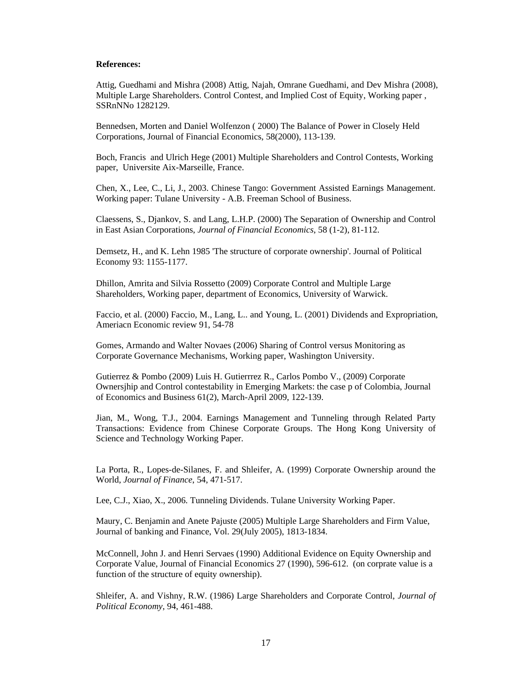# **References:**

Attig, Guedhami and Mishra (2008) Attig, Najah, Omrane Guedhami, and Dev Mishra (2008), Multiple Large Shareholders. Control Contest, and Implied Cost of Equity, Working paper , SSRnNNo 1282129.

Bennedsen, Morten and Daniel Wolfenzon ( 2000) The Balance of Power in Closely Held Corporations, Journal of Financial Economics, 58(2000), 113-139.

Boch, Francis and Ulrich Hege (2001) Multiple Shareholders and Control Contests, Working paper, Universite Aix-Marseille, France.

Chen, X., Lee, C., Li, J., 2003. Chinese Tango: Government Assisted Earnings Management. Working paper: Tulane University - A.B. Freeman School of Business.

Claessens, S., Djankov, S. and Lang, L.H.P. (2000) The Separation of Ownership and Control in East Asian Corporations, *Journal of Financial Economics*, 58 (1-2), 81-112.

Demsetz, H., and K. Lehn 1985 'The structure of corporate ownership'. Journal of Political Economy 93: 1155-1177.

Dhillon, Amrita and Silvia Rossetto (2009) Corporate Control and Multiple Large Shareholders, Working paper, department of Economics, University of Warwick.

Faccio, et al. (2000) Faccio, M., Lang, L.. and Young, L. (2001) Dividends and Expropriation, Ameriacn Economic review 91, 54-78

Gomes, Armando and Walter Novaes (2006) Sharing of Control versus Monitoring as Corporate Governance Mechanisms, Working paper, Washington University.

Gutierrez & Pombo (2009) Luis H. Gutierrrez R., Carlos Pombo V., (2009) Corporate Ownersjhip and Control contestability in Emerging Markets: the case p of Colombia, Journal of Economics and Business 61(2), March-April 2009, 122-139.

Jian, M., Wong, T.J., 2004. Earnings Management and Tunneling through Related Party Transactions: Evidence from Chinese Corporate Groups. The Hong Kong University of Science and Technology Working Paper.

La Porta, R., Lopes-de-Silanes, F. and Shleifer, A. (1999) Corporate Ownership around the World, *Journal of Finance*, 54, 471-517.

Lee, C.J., Xiao, X., 2006. Tunneling Dividends. Tulane University Working Paper.

Maury, C. Benjamin and Anete Pajuste (2005) Multiple Large Shareholders and Firm Value, Journal of banking and Finance, Vol. 29(July 2005), 1813-1834.

McConnell, John J. and Henri Servaes (1990) Additional Evidence on Equity Ownership and Corporate Value, Journal of Financial Economics 27 (1990), 596-612. (on corprate value is a function of the structure of equity ownership).

Shleifer, A. and Vishny, R.W. (1986) Large Shareholders and Corporate Control, *Journal of Political Economy*, 94, 461-488.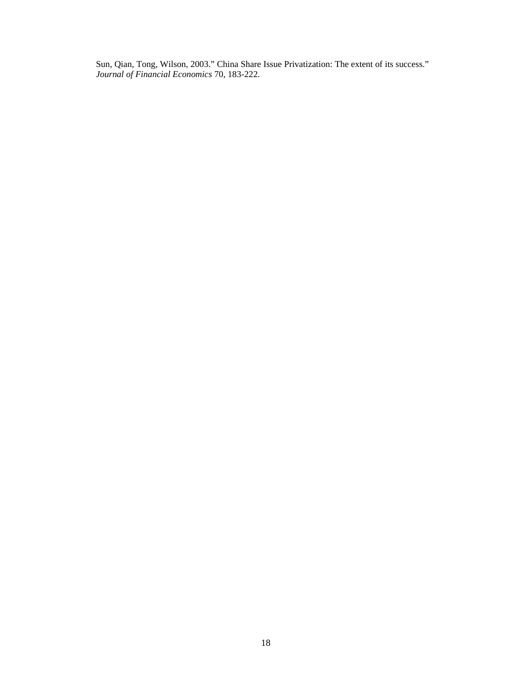Sun, Qian, Tong, Wilson, 2003." China Share Issue Privatization: The extent of its success." *Journal of Financial Economics* 70, 183-222.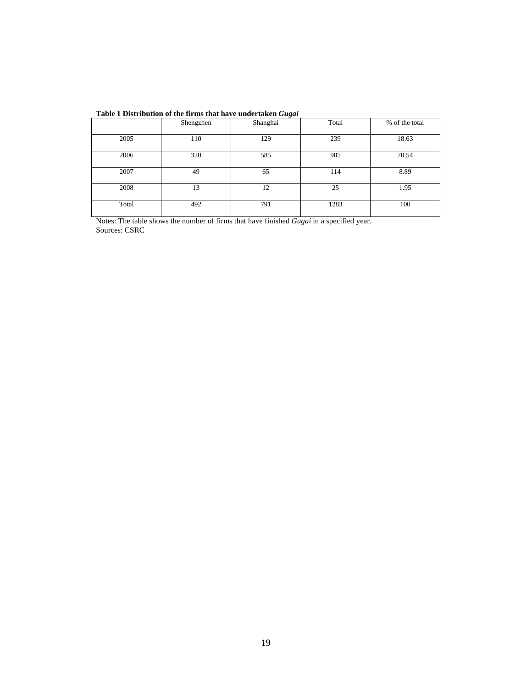| Table 1 Distribution of the firms that have undertaken Gugai |  |  |  |
|--------------------------------------------------------------|--|--|--|
|--------------------------------------------------------------|--|--|--|

|       | Shengzhen | Shanghai | Total | % of the total |
|-------|-----------|----------|-------|----------------|
| 2005  | 110       | 129      | 239   | 18.63          |
| 2006  | 320       | 585      | 905   | 70.54          |
| 2007  | 49        | 65       | 114   | 8.89           |
| 2008  | 13        | 12       | 25    | 1.95           |
| Total | 492       | 791      | 1283  | 100            |

Notes: The table shows the number of firms that have finished *Gugai* in a specified year. Sources: CSRC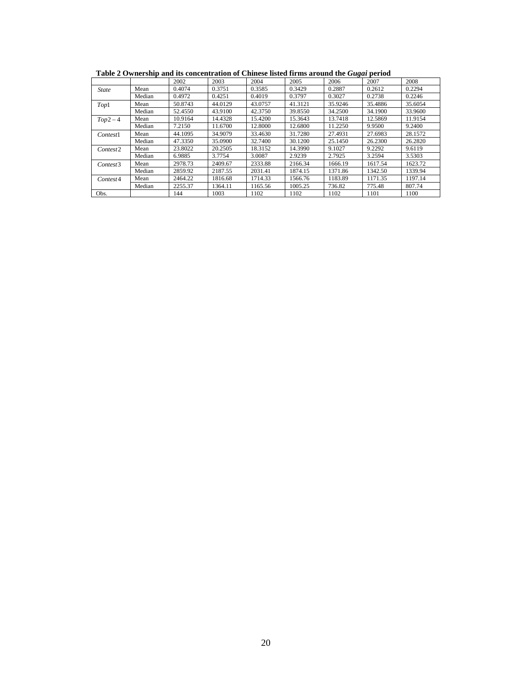|                      |        | 2002    | 2003    | 2004    | 2005    | $\cdot$<br>2006 | 2007    | 2008    |
|----------------------|--------|---------|---------|---------|---------|-----------------|---------|---------|
| <b>State</b>         | Mean   | 0.4074  | 0.3751  | 0.3585  | 0.3429  | 0.2887          | 0.2612  | 0.2294  |
|                      | Median | 0.4972  | 0.4251  | 0.4019  | 0.3797  | 0.3027          | 0.2738  | 0.2246  |
| Top1                 | Mean   | 50.8743 | 44.0129 | 43.0757 | 41.3121 | 35.9246         | 35.4886 | 35.6054 |
|                      | Median | 52.4550 | 43.9100 | 42.3750 | 39.8550 | 34.2500         | 34.1900 | 33.9600 |
| $Top2-4$             | Mean   | 10.9164 | 14.4328 | 15.4200 | 15.3643 | 13.7418         | 12.5869 | 11.9154 |
|                      | Median | 7.2150  | 11.6700 | 12.8000 | 12.6800 | 11.2250         | 9.9500  | 9.2400  |
| Contest1             | Mean   | 44.1095 | 34.9079 | 33.4630 | 31.7280 | 27.4931         | 27.6983 | 28.1572 |
|                      | Median | 47.3350 | 35.0900 | 32.7400 | 30.1200 | 25.1450         | 26.2300 | 26.2820 |
| Contest <sub>2</sub> | Mean   | 23.8022 | 20.2505 | 18.3152 | 14.3990 | 9.1027          | 9.2292  | 9.6119  |
|                      | Median | 6.9885  | 3.7754  | 3.0087  | 2.9239  | 2.7925          | 3.2594  | 3.5303  |
| Contest <sub>3</sub> | Mean   | 2978.73 | 2409.67 | 2333.88 | 2166.34 | 1666.19         | 1617.54 | 1623.72 |
|                      | Median | 2859.92 | 2187.55 | 2031.41 | 1874.15 | 1371.86         | 1342.50 | 1339.94 |
| Contest4             | Mean   | 2464.22 | 1816.68 | 1714.33 | 1566.76 | 1183.89         | 1171.35 | 1197.14 |
|                      | Median | 2255.37 | 1364.11 | 1165.56 | 1005.25 | 736.82          | 775.48  | 807.74  |
| Obs.                 |        | 144     | 1003    | 1102    | 1102    | 1102            | 1101    | 1100    |

**Table 2 Ownership and its concentration of Chinese listed firms around the** *Gugai* **period**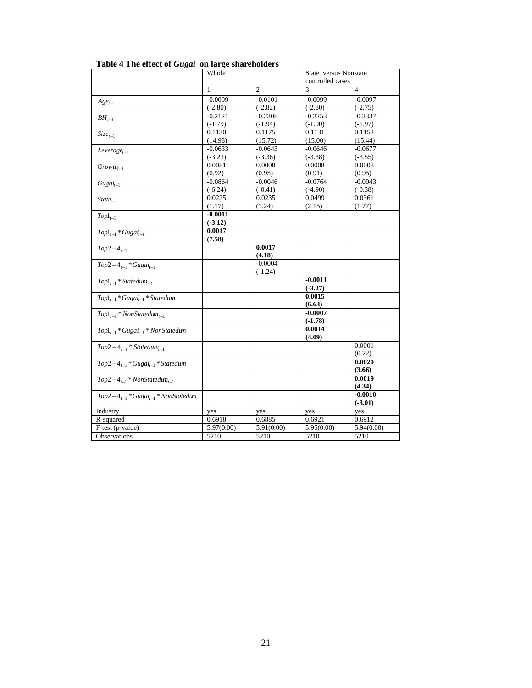|                                            | Whole      |                |            | State versus Nonstate |  |  |
|--------------------------------------------|------------|----------------|------------|-----------------------|--|--|
|                                            |            |                |            | controlled cases      |  |  |
|                                            | 1          | $\overline{c}$ | 3          | 4                     |  |  |
| $Age_{t-1}$                                | $-0.0099$  | $-0.0101$      | $-0.0099$  | $-0.0097$             |  |  |
|                                            | $(-2.80)$  | $(-2.82)$      | $(-2.80)$  | $(-2.75)$             |  |  |
| $BH_{t-1}$                                 | $-0.2121$  | $-0.2308$      | $-0.2253$  | $-0.2337$             |  |  |
|                                            | $(-1.79)$  | $(-1.94)$      | $(-1.90)$  | $(-1.97)$             |  |  |
| $Size_{t-1}$                               | 0.1130     | 0.1175         | 0.1131     | 0.1152                |  |  |
|                                            | (14.98)    | (15.72)        | (15.00)    | (15.44)               |  |  |
| $Leverage_{t-1}$                           | $-0.0633$  | $-0.0643$      | $-0.0646$  | $-0.0677$             |  |  |
|                                            | $(-3.23)$  | $(-3.36)$      | $(-3.38)$  | $(-3.55)$             |  |  |
| $Growth_{t-1}$                             | 0.0081     | 0.0008         | 0.0008     | 0.0008                |  |  |
|                                            | (0.92)     | (0.95)         | (0.91)     | (0.95)                |  |  |
| $Gugai_{t-1}$                              | $-0.0864$  | $-0.0046$      | $-0.0764$  | $-0.0043$             |  |  |
|                                            | $(-6.24)$  | $(-0.41)$      | $(-4.90)$  | $(-0.38)$             |  |  |
| $State_{t-1}$                              | 0.0225     | 0.0235         | 0.0499     | 0.0361                |  |  |
|                                            | (1.17)     | (1.24)         | (2.15)     | (1.77)                |  |  |
| $\mathit{Topl}_{t-1}$                      | $-0.0011$  |                |            |                       |  |  |
|                                            | $(-3.12)$  |                |            |                       |  |  |
| $Topl_{t-1} * Gugai_{t-1}$                 | 0.0017     |                |            |                       |  |  |
|                                            | (7.58)     |                |            |                       |  |  |
| $Top2-4_{t-1}$                             |            | 0.0017         |            |                       |  |  |
|                                            |            | (4.18)         |            |                       |  |  |
| $Top2-4_{t-1} * Gugai_{t-1}$               |            | $-0.0004$      |            |                       |  |  |
|                                            |            | $(-1.24)$      |            |                       |  |  |
| $Topl_{t-1} * Statedum_{t-1}$              |            |                | $-0.0011$  |                       |  |  |
|                                            |            |                | $(-3.27)$  |                       |  |  |
| $Topl_{t-1} * Gugai_{t-1} * Statedum$      |            |                | 0.0015     |                       |  |  |
|                                            |            |                | (6.63)     |                       |  |  |
| $Topl_{t-1} * NonStatedum_{t-1}$           |            |                | $-0.0007$  |                       |  |  |
|                                            |            |                | $(-1.78)$  |                       |  |  |
| $Topl_{t-1} * Gugai_{t-1} * NonStatedum$   |            |                | 0.0014     |                       |  |  |
|                                            |            |                | (4.09)     |                       |  |  |
| $Top2-4_{t-1} * Statedum_{t-1}$            |            |                |            | 0.0001                |  |  |
|                                            |            |                |            | (0.22)                |  |  |
| $Top2-4_{t-1} * Gugai_{t-1} * Statedum$    |            |                |            | 0.0020                |  |  |
|                                            |            |                |            | (3.66)                |  |  |
| $Top2-4_{t-1} * NonStatedum_{t-1}$         |            |                |            | 0.0019                |  |  |
|                                            |            |                |            | (4.34)                |  |  |
| $Top2-4_{t-1} * Gugai_{t-1} * NonStatedum$ |            |                |            | $-0.0010$             |  |  |
|                                            |            |                |            | $(-3.01)$             |  |  |
| Industry                                   | yes        | yes            | yes        | yes                   |  |  |
| R-squared                                  | 0.6918     | 0.6885         | 0.6921     | 0.6912                |  |  |
| F-test (p-value)                           | 5.97(0.00) | 5.91(0.00)     | 5.95(0.00) | 5.94(0.00)            |  |  |
| Observations                               | 5210       | 5210           | 5210       | 5210                  |  |  |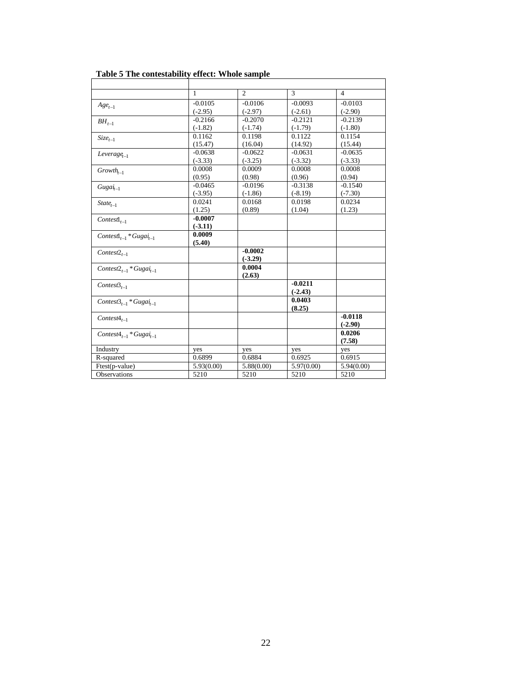|                                          | 1          | $\overline{c}$ | 3          | $\overline{\mathcal{A}}$ |
|------------------------------------------|------------|----------------|------------|--------------------------|
| $Age_{t-1}$                              | $-0.0105$  | $-0.0106$      | $-0.0093$  | $-0.0103$                |
|                                          | $(-2.95)$  | $(-2.97)$      | $(-2.61)$  | $(-2.90)$                |
| $BH_{t-1}$                               | $-0.2166$  | $-0.2070$      | $-0.2121$  | $-0.2139$                |
|                                          | $(-1.82)$  | $(-1.74)$      | $(-1.79)$  | $(-1.80)$                |
| $Size_{t-1}$                             | 0.1162     | 0.1198         | 0.1122     | 0.1154                   |
|                                          | (15.47)    | (16.04)        | (14.92)    | (15.44)                  |
| Leverage <sub><math>t-1</math></sub>     | $-0.0638$  | $-0.0622$      | $-0.0631$  | $-0.0635$                |
|                                          | $(-3.33)$  | $(-3.25)$      | $(-3.32)$  | $(-3.33)$                |
| $Growth_{t-1}$                           | 0.0008     | 0.0009         | 0.0008     | 0.0008                   |
|                                          | (0.95)     | (0.98)         | (0.96)     | (0.94)                   |
| $Gugai_{t-1}$                            | $-0.0465$  | $-0.0196$      | $-0.3138$  | $-0.1540$                |
|                                          | $(-3.95)$  | $(-1.86)$      | $(-8.19)$  | $(-7.30)$                |
| $State_{t-1}$                            | 0.0241     | 0.0168         | 0.0198     | 0.0234                   |
|                                          | (1.25)     | (0.89)         | (1.04)     | (1.23)                   |
| $Context_{t-1}$                          | $-0.0007$  |                |            |                          |
|                                          | $(-3.11)$  |                |            |                          |
| $Context_{t-1} * Gugai_{t-1}$            | 0.0009     |                |            |                          |
|                                          | (5.40)     |                |            |                          |
| $Context2_{t-1}$                         |            | $-0.0002$      |            |                          |
|                                          |            | $(-3.29)$      |            |                          |
| Contest $2_{t-1}$ * Gugai <sub>t-1</sub> |            | 0.0004         |            |                          |
|                                          |            | (2.63)         |            |                          |
| $Context3_{t-1}$                         |            |                | $-0.0211$  |                          |
|                                          |            |                | $(-2.43)$  |                          |
| $Context3_{t-1} * Gugai_{t-1}$           |            |                | 0.0403     |                          |
|                                          |            |                | (8.25)     |                          |
| $Context4_{t-1}$                         |            |                |            | $-0.0118$                |
|                                          |            |                |            | $(-2.90)$                |
| $Context4_{t-1} * Gugai_{t-1}$           |            |                |            | 0.0206                   |
|                                          |            |                |            | (7.58)                   |
| Industry                                 | yes        | yes            | yes        | yes                      |
| R-squared                                | 0.6899     | 0.6884         | 0.6925     | 0.6915                   |
| $Ftest(p-value)$                         | 5.93(0.00) | 5.88(0.00)     | 5.97(0.00) | 5.94(0.00)               |
| <b>Observations</b>                      | 5210       | 5210           | 5210       | 5210                     |

**Table 5 The contestability effect: Whole sample**